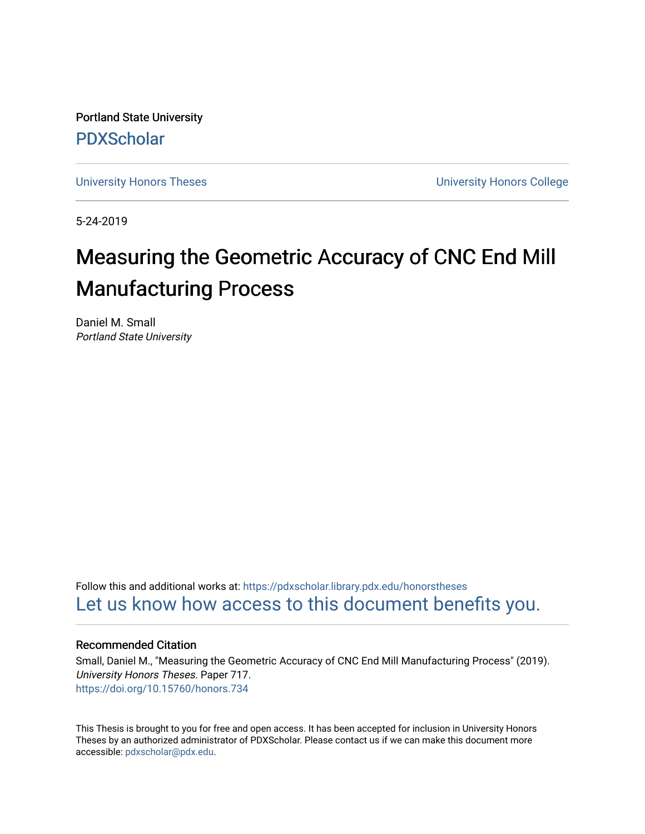Portland State University [PDXScholar](https://pdxscholar.library.pdx.edu/)

[University Honors Theses](https://pdxscholar.library.pdx.edu/honorstheses) [University Honors College](https://pdxscholar.library.pdx.edu/honors) 

5-24-2019

# Measuring the Geometric Accuracy of CNC End Mill Manufacturing Process

Daniel M. Small Portland State University

Follow this and additional works at: [https://pdxscholar.library.pdx.edu/honorstheses](https://pdxscholar.library.pdx.edu/honorstheses?utm_source=pdxscholar.library.pdx.edu%2Fhonorstheses%2F717&utm_medium=PDF&utm_campaign=PDFCoverPages)  [Let us know how access to this document benefits you.](http://library.pdx.edu/services/pdxscholar-services/pdxscholar-feedback/) 

## Recommended Citation

Small, Daniel M., "Measuring the Geometric Accuracy of CNC End Mill Manufacturing Process" (2019). University Honors Theses. Paper 717. <https://doi.org/10.15760/honors.734>

This Thesis is brought to you for free and open access. It has been accepted for inclusion in University Honors Theses by an authorized administrator of PDXScholar. Please contact us if we can make this document more accessible: [pdxscholar@pdx.edu.](mailto:pdxscholar@pdx.edu)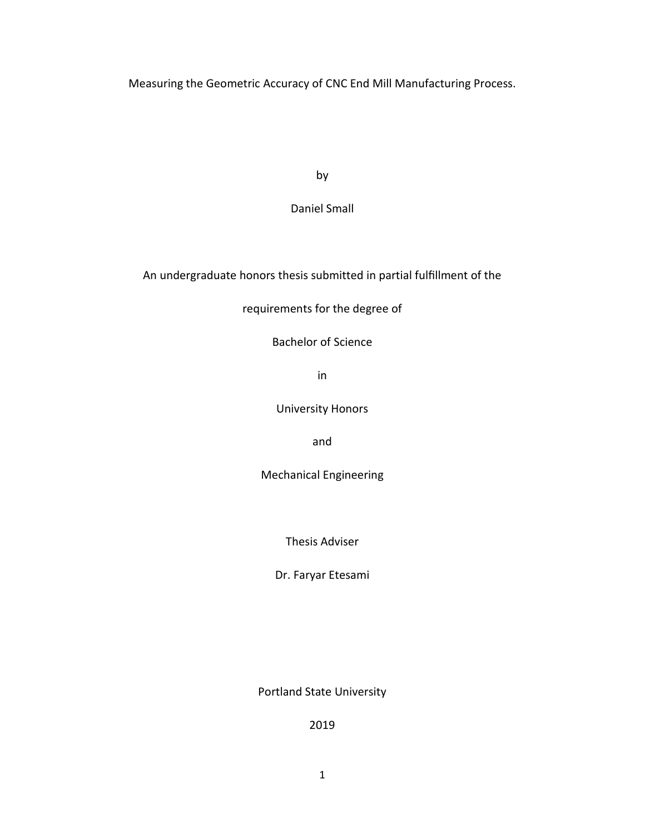Measuring the Geometric Accuracy of CNC End Mill Manufacturing Process.

by

Daniel Small

An undergraduate honors thesis submitted in partial fulfillment of the

requirements for the degree of

Bachelor of Science

in

University Honors

and

Mechanical Engineering

Thesis Adviser

Dr. Faryar Etesami

Portland State University

2019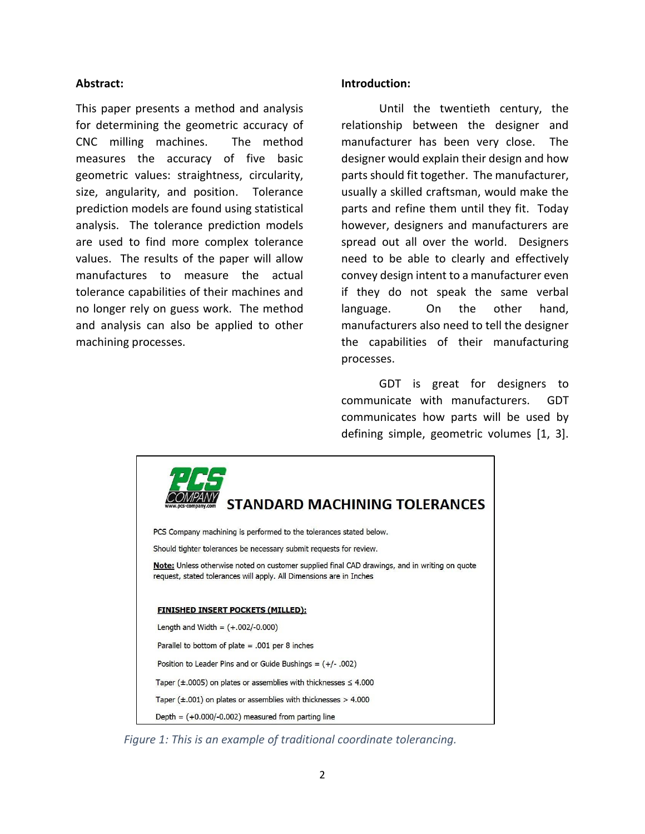# **Abstract:**

This paper presents a method and analysis for determining the geometric accuracy of CNC milling machines. The method measures the accuracy of five basic geometric values: straightness, circularity, size, angularity, and position. Tolerance prediction models are found using statistical analysis. The tolerance prediction models are used to find more complex tolerance values. The results of the paper will allow manufactures to measure the actual tolerance capabilities of their machines and no longer rely on guess work. The method and analysis can also be applied to other machining processes.

## **Introduction:**

Until the twentieth century, the relationship between the designer and manufacturer has been very close. The designer would explain their design and how parts should fit together. The manufacturer, usually a skilled craftsman, would make the parts and refine them until they fit. Today however, designers and manufacturers are spread out all over the world. Designers need to be able to clearly and effectively convey design intent to a manufacturer even if they do not speak the same verbal language. On the other hand, manufacturers also need to tell the designer the capabilities of their manufacturing processes.

GDT is great for designers to communicate with manufacturers. GDT communicates how parts will be used by defining simple, geometric volumes [1, 3].



*Figure 1: This is an example of traditional coordinate tolerancing.*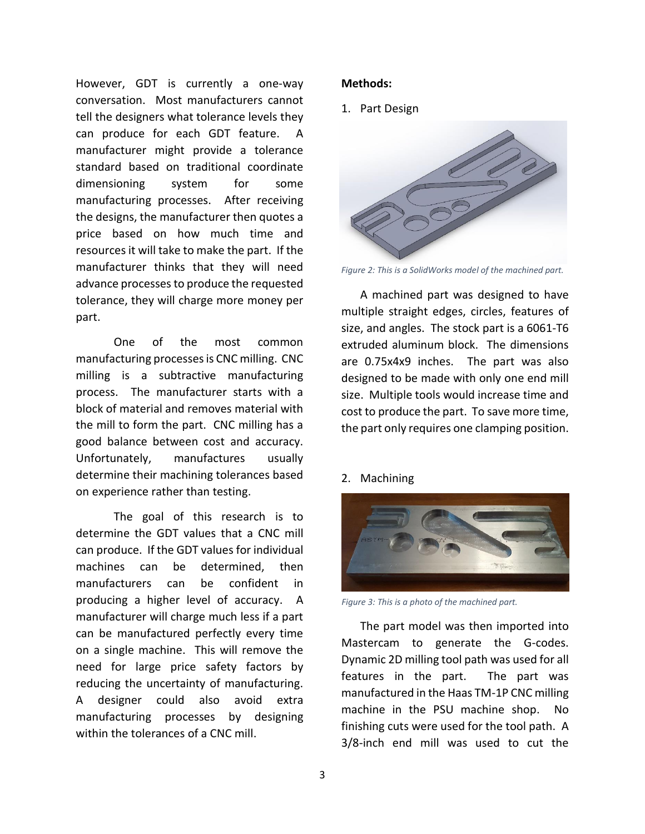However, GDT is currently a one-way conversation. Most manufacturers cannot tell the designers what tolerance levels they can produce for each GDT feature. A manufacturer might provide a tolerance standard based on traditional coordinate dimensioning system for some manufacturing processes. After receiving the designs, the manufacturer then quotes a price based on how much time and resources it will take to make the part. If the manufacturer thinks that they will need advance processes to produce the requested tolerance, they will charge more money per part.

One of the most common manufacturing processes is CNC milling. CNC milling is a subtractive manufacturing process. The manufacturer starts with a block of material and removes material with the mill to form the part. CNC milling has a good balance between cost and accuracy. Unfortunately, manufactures usually determine their machining tolerances based on experience rather than testing.

The goal of this research is to determine the GDT values that a CNC mill can produce. If the GDT values for individual machines can be determined, then manufacturers can be confident in producing a higher level of accuracy. A manufacturer will charge much less if a part can be manufactured perfectly every time on a single machine. This will remove the need for large price safety factors by reducing the uncertainty of manufacturing. A designer could also avoid extra manufacturing processes by designing within the tolerances of a CNC mill.

## **Methods:**

1. Part Design



*Figure 2: This is a SolidWorks model of the machined part.*

A machined part was designed to have multiple straight edges, circles, features of size, and angles. The stock part is a 6061-T6 extruded aluminum block. The dimensions are 0.75x4x9 inches. The part was also designed to be made with only one end mill size. Multiple tools would increase time and cost to produce the part. To save more time, the part only requires one clamping position.

#### 2. Machining



*Figure 3: This is a photo of the machined part.*

The part model was then imported into Mastercam to generate the G-codes. Dynamic 2D milling tool path was used for all features in the part. The part was manufactured in the Haas TM-1P CNC milling machine in the PSU machine shop. No finishing cuts were used for the tool path. A 3/8-inch end mill was used to cut the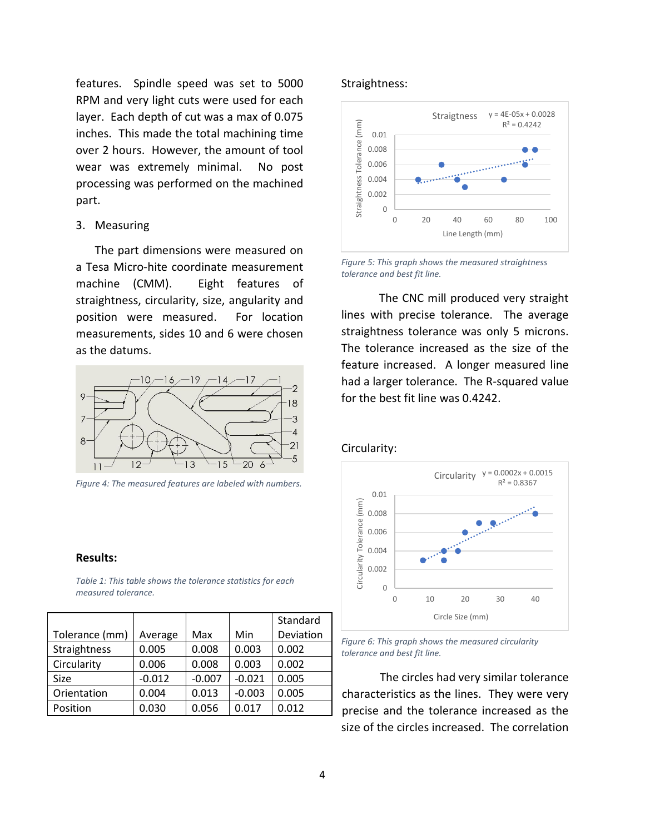features. Spindle speed was set to 5000 RPM and very light cuts were used for each layer. Each depth of cut was a max of 0.075 inches. This made the total machining time over 2 hours. However, the amount of tool wear was extremely minimal. No post processing was performed on the machined part.

## 3. Measuring

The part dimensions were measured on a Tesa Micro-hite coordinate measurement machine (CMM). Eight features of straightness, circularity, size, angularity and position were measured. For location measurements, sides 10 and 6 were chosen as the datums.



*Figure 4: The measured features are labeled with numbers.*

#### **Results:**

*Table 1: This table shows the tolerance statistics for each measured tolerance.*

|                |          |          |          | Standard  |  |
|----------------|----------|----------|----------|-----------|--|
| Tolerance (mm) | Average  | Max      | Min      | Deviation |  |
| Straightness   | 0.005    | 0.008    | 0.003    | 0.002     |  |
| Circularity    | 0.006    | 0.008    | 0.003    | 0.002     |  |
| Size           | $-0.012$ | $-0.007$ | $-0.021$ | 0.005     |  |
| Orientation    | 0.004    | 0.013    | $-0.003$ | 0.005     |  |
| Position       | 0.030    | 0.056    | 0.017    | 0.012     |  |

#### Straightness:



*Figure 5: This graph shows the measured straightness tolerance and best fit line.*

The CNC mill produced very straight lines with precise tolerance. The average straightness tolerance was only 5 microns. The tolerance increased as the size of the feature increased. A longer measured line had a larger tolerance. The R-squared value for the best fit line was 0.4242.

#### Circularity:



*Figure 6: This graph shows the measured circularity tolerance and best fit line.*

The circles had very similar tolerance characteristics as the lines. They were very precise and the tolerance increased as the size of the circles increased. The correlation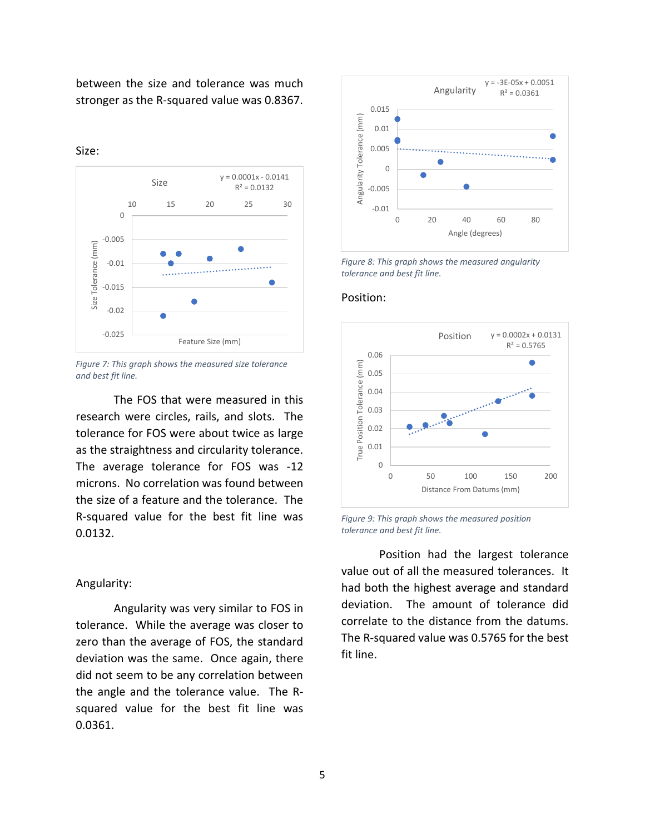between the size and tolerance was much stronger as the R-squared value was 0.8367.

 $y = 0.0001x - 0.0141$ Size  $R^2 = 0.0132$ 10 15 20 25 30 0 -0.005 Size Tolerance (mm) Size Tolerance (mm)  $\bullet$ -0.01 . . . . . . . . . . . -0.015 -0.02 -0.025 Feature Size (mm)

Size:

*Figure 7: This graph shows the measured size tolerance and best fit line.*

The FOS that were measured in this research were circles, rails, and slots. The tolerance for FOS were about twice as large as the straightness and circularity tolerance. The average tolerance for FOS was -12 microns. No correlation was found between the size of a feature and the tolerance. The R-squared value for the best fit line was 0.0132.

#### Angularity:

Angularity was very similar to FOS in tolerance. While the average was closer to zero than the average of FOS, the standard deviation was the same. Once again, there did not seem to be any correlation between the angle and the tolerance value. The Rsquared value for the best fit line was 0.0361.



*Figure 8: This graph shows the measured angularity tolerance and best fit line.*

#### Position:



*Figure 9: This graph shows the measured position tolerance and best fit line.*

Position had the largest tolerance value out of all the measured tolerances. It had both the highest average and standard deviation. The amount of tolerance did correlate to the distance from the datums. The R-squared value was 0.5765 for the best fit line.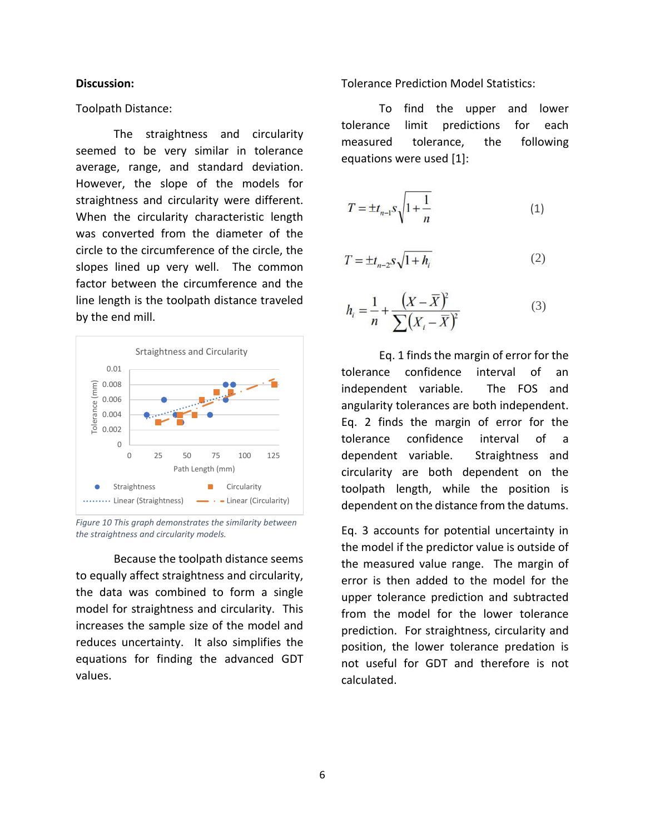#### **Discussion:**

#### Toolpath Distance:

The straightness and circularity seemed to be very similar in tolerance average, range, and standard deviation. However, the slope of the models for straightness and circularity were different. When the circularity characteristic length was converted from the diameter of the circle to the circumference of the circle, the slopes lined up very well. The common factor between the circumference and the line length is the toolpath distance traveled by the end mill.



*Figure 10 This graph demonstrates the similarity between the straightness and circularity models.*

Because the toolpath distance seems to equally affect straightness and circularity, the data was combined to form a single model for straightness and circularity. This increases the sample size of the model and reduces uncertainty. It also simplifies the equations for finding the advanced GDT values.

Tolerance Prediction Model Statistics:

To find the upper and lower tolerance limit predictions for each measured tolerance, the following equations were used [1]:

$$
T = \pm t_{n-1} s \sqrt{1 + \frac{1}{n}} \tag{1}
$$

$$
T = \pm t_{n-2} s \sqrt{1 + h_i} \tag{2}
$$

$$
h_{i} = \frac{1}{n} + \frac{(X - \overline{X})^{2}}{\sum (X_{i} - \overline{X})^{2}}
$$
(3)

Eq. 1 finds the margin of error for the tolerance confidence interval of an independent variable. The FOS and angularity tolerances are both independent. Eq. 2 finds the margin of error for the tolerance confidence interval of a dependent variable. Straightness and circularity are both dependent on the toolpath length, while the position is dependent on the distance from the datums.

Eq. 3 accounts for potential uncertainty in the model if the predictor value is outside of the measured value range. The margin of error is then added to the model for the upper tolerance prediction and subtracted from the model for the lower tolerance prediction. For straightness, circularity and position, the lower tolerance predation is not useful for GDT and therefore is not calculated.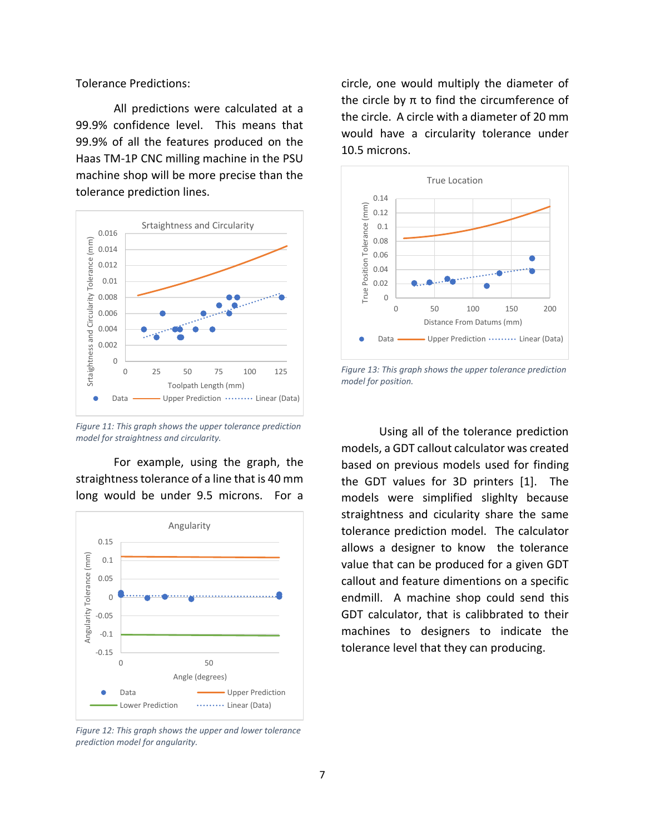Tolerance Predictions:

All predictions were calculated at a 99.9% confidence level. This means that 99.9% of all the features produced on the Haas TM-1P CNC milling machine in the PSU machine shop will be more precise than the tolerance prediction lines.



*Figure 11: This graph shows the upper tolerance prediction model for straightness and circularity.*

For example, using the graph, the straightnesstolerance of a line that is 40 mm long would be under 9.5 microns. For a



*Figure 12: This graph shows the upper and lower tolerance prediction model for angularity.*

circle, one would multiply the diameter of the circle by π to find the circumference of the circle. A circle with a diameter of 20 mm would have a circularity tolerance under 10.5 microns.



*Figure 13: This graph shows the upper tolerance prediction model for position.*

Using all of the tolerance prediction models, a GDT callout calculator was created based on previous models used for finding the GDT values for 3D printers [1]. The models were simplified slighlty because straightness and cicularity share the same tolerance prediction model. The calculator allows a designer to know the tolerance value that can be produced for a given GDT callout and feature dimentions on a specific endmill. A machine shop could send this GDT calculator, that is calibbrated to their machines to designers to indicate the tolerance level that they can producing.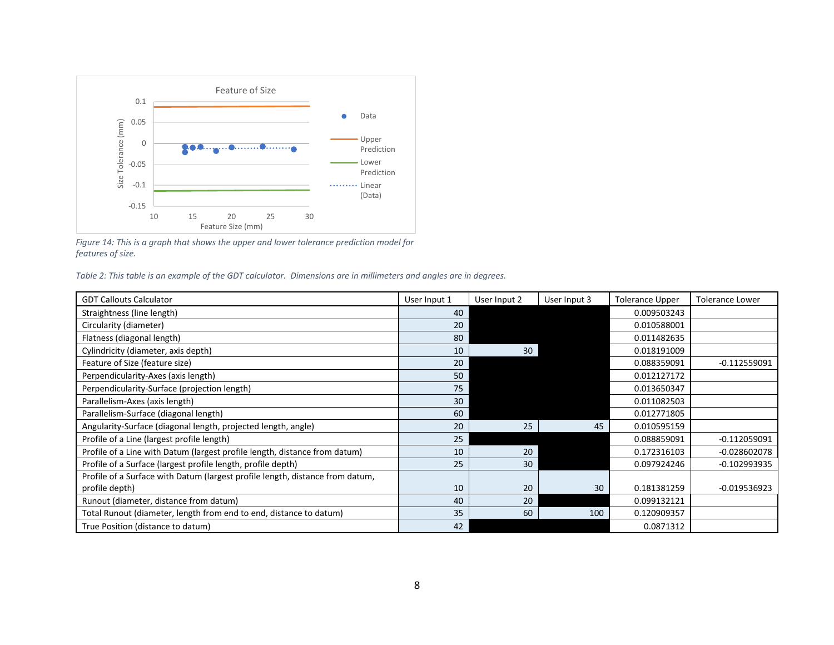

*Figure 14: This is a graph that shows the upper and lower tolerance prediction model for features of size.*

*Table 2: This table is an example of the GDT calculator. Dimensions are in millimeters and angles are in degrees.*

| <b>GDT Callouts Calculator</b>                                                | User Input 1 | User Input 2 | User Input 3 | <b>Tolerance Upper</b> | <b>Tolerance Lower</b> |
|-------------------------------------------------------------------------------|--------------|--------------|--------------|------------------------|------------------------|
| Straightness (line length)                                                    | 40           |              |              | 0.009503243            |                        |
| Circularity (diameter)                                                        | 20           |              |              | 0.010588001            |                        |
| Flatness (diagonal length)                                                    | 80           |              |              | 0.011482635            |                        |
| Cylindricity (diameter, axis depth)                                           | 10           | 30           |              | 0.018191009            |                        |
| Feature of Size (feature size)                                                | 20           |              |              | 0.088359091            | $-0.112559091$         |
| Perpendicularity-Axes (axis length)                                           | 50           |              |              | 0.012127172            |                        |
| Perpendicularity-Surface (projection length)                                  | 75           |              |              | 0.013650347            |                        |
| Parallelism-Axes (axis length)                                                | 30           |              |              | 0.011082503            |                        |
| Parallelism-Surface (diagonal length)                                         | 60           |              |              | 0.012771805            |                        |
| Angularity-Surface (diagonal length, projected length, angle)                 | 20           | 25           | 45           | 0.010595159            |                        |
| Profile of a Line (largest profile length)                                    | 25           |              |              | 0.088859091            | $-0.112059091$         |
| Profile of a Line with Datum (largest profile length, distance from datum)    | 10           | 20           |              | 0.172316103            | $-0.028602078$         |
| Profile of a Surface (largest profile length, profile depth)                  | 25           | 30           |              | 0.097924246            | $-0.102993935$         |
| Profile of a Surface with Datum (largest profile length, distance from datum, |              |              |              |                        |                        |
| profile depth)                                                                | 10           | 20           | 30           | 0.181381259            | $-0.019536923$         |
| Runout (diameter, distance from datum)                                        | 40           | 20           |              | 0.099132121            |                        |
| Total Runout (diameter, length from end to end, distance to datum)            | 35           | 60           | 100          | 0.120909357            |                        |
| True Position (distance to datum)                                             | 42           |              |              | 0.0871312              |                        |